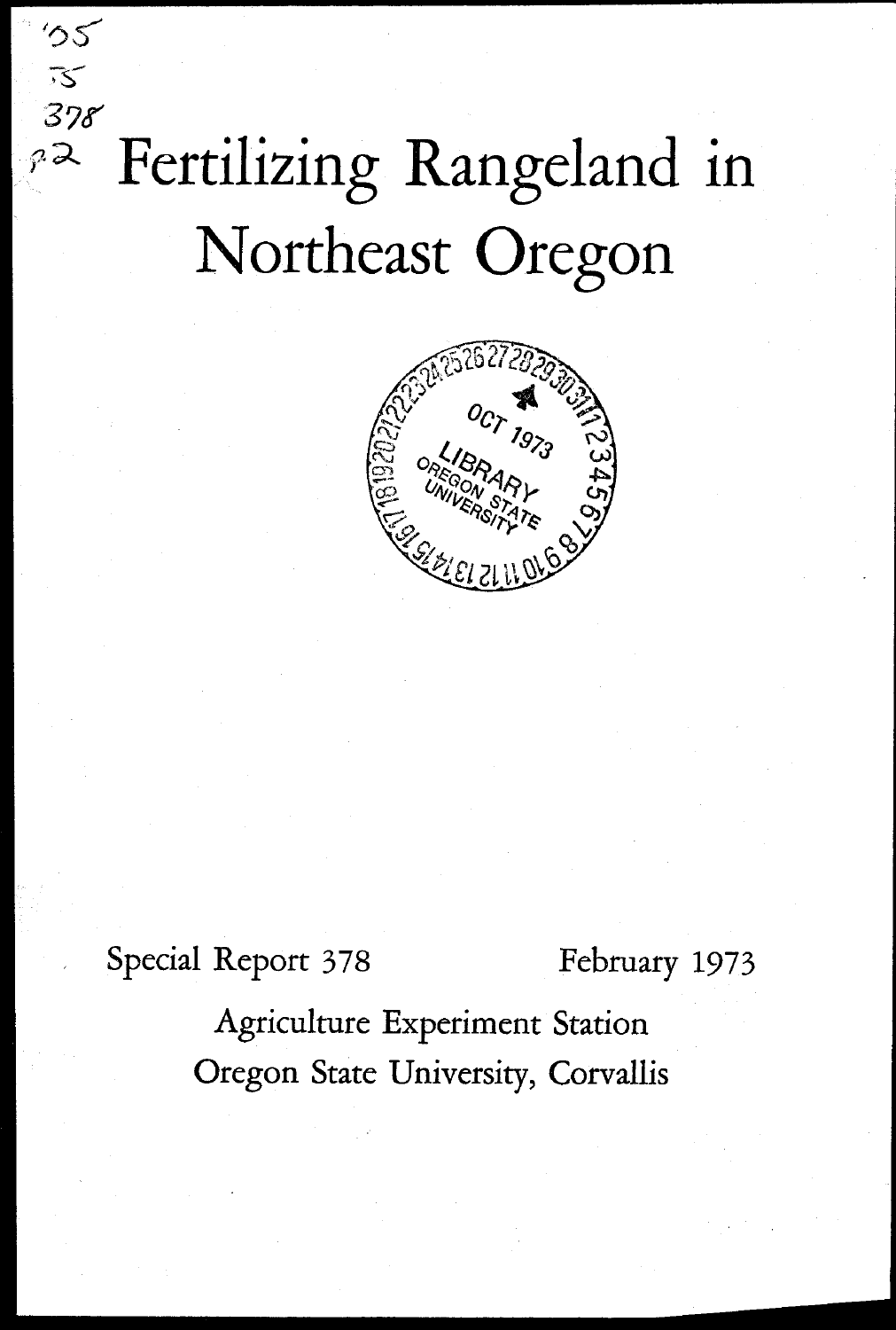# Fertilizing Rangeland in Northeast Oregon



Special Report 378 February 1973

 $55$ 

 $\overline{\mathcal{S}}$  $378$ 

 $\mathcal{P}$ 

Agriculture Experiment Station Oregon State University, Corvallis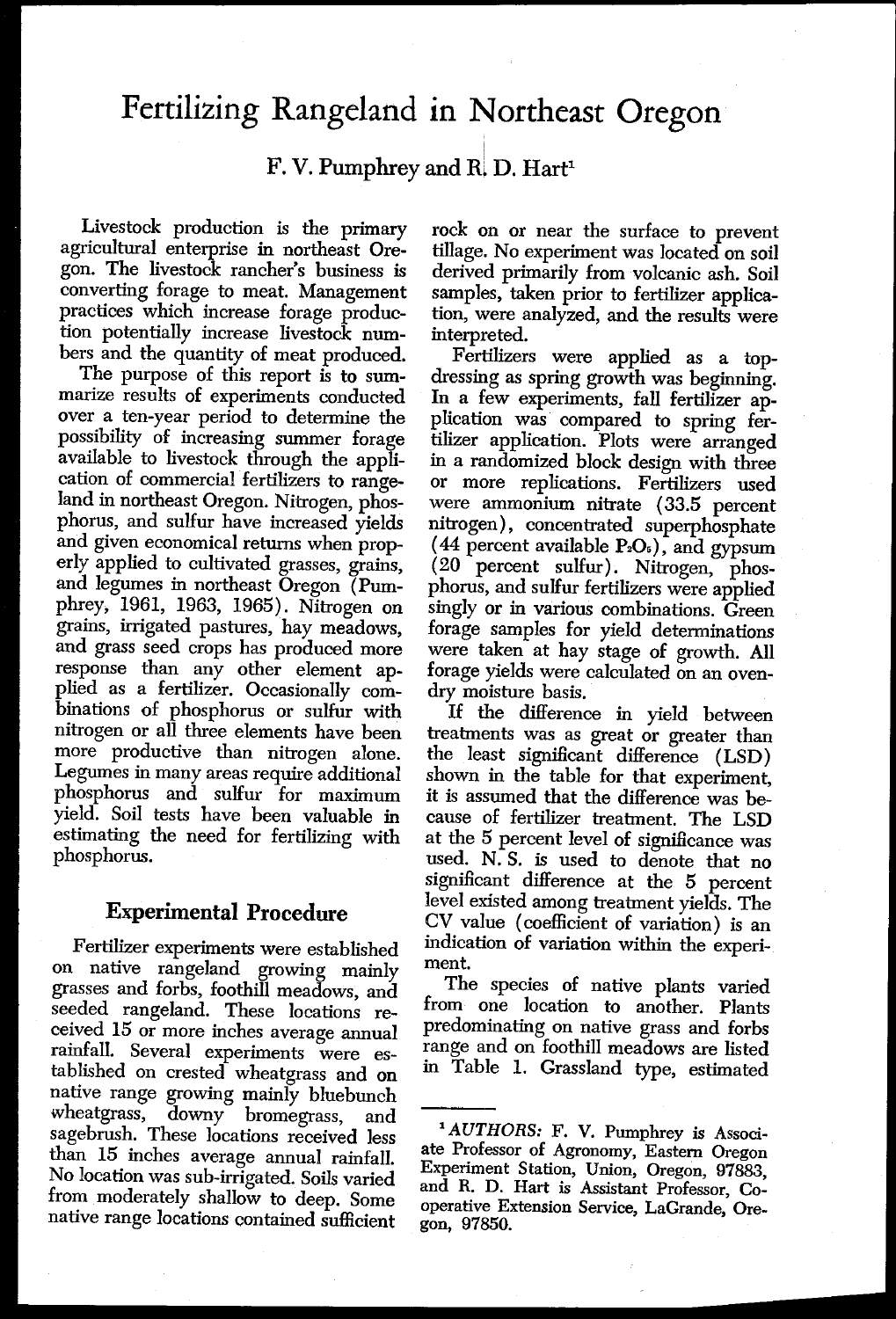## Fertilizing Rangeland in Northeast Oregon

F. V. Pumphrey and R. D. Hart<sup>1</sup>

Livestock production is the primary agricultural enterprise in northeast Oregon. The livestock rancher's business is converting forage to meat. Management practices which increase forage production potentially increase livestock numbers and the quantity of meat produced.

The purpose of this report is to summarize results of experiments conducted over a ten-year period to determine the possibility of increasing summer forage available to livestock through the application of commercial fertilizers to rangeland in northeast Oregon. Nitrogen, phosphorus, and sulfur have increased yields and given economical returns when properly applied to cultivated grasses, grains, and legumes in northeast Oregon (Pumphrey, 1961, 1963, 1965). Nitrogen on grains, irrigated pastures, hay meadows, and grass seed crops has produced more response than any other element applied as a fertilizer. Occasionally combinations of phosphorus or sulfur with nitrogen or all three elements have been more productive than nitrogen alone. Legumes in many areas require additional phosphorus and sulfur for maximum yield. Soil tests have been valuable in estimating the need for fertilizing with phosphorus.

### **Experimental Procedure**

Fertilizer experiments were established on native rangeland growing mainly grasses and forbs, foothill meadows, and seeded rangeland. These locations received 15 or more inches average annual rainfall. Several experiments were established on crested wheatgrass and on native range growing mainly bluebunch wheatgrass, downy bromegrass, and sagebrush. These locations received less than 15 inches average annual rainfall. No location was sub-irrigated. Soils varied from moderately shallow to deep. Some native range locations contained sufficient

rock on or near the surface to prevent tillage. No experiment was located on soil derived primarily from volcanic ash. Soil samples, taken prior to fertilizer application, were analyzed, and the results were interpreted.

Fertilizers were applied as a topdressing as spring growth was beginning. In a few experiments, fall fertilizer application was compared to spring fertilizer application. Plots were arranged in a randomized block design with three or more replications. Fertilizers used were ammonium nitrate (33.5 percent nitrogen), concentrated superphosphate (44 percent available  $P_2O_5$ ), and gypsum (20 percent sulfur). Nitrogen, phosphorus, and sulfur fertilizers were applied singly or in various combinations. Green forage samples for yield determinations were taken at hay stage of growth. All forage yields were calculated on an ovendry moisture basis.

If the difference in yield between treatments was as great or greater than the least significant difference (LSD) shown in the table for that experiment, it is assumed that the difference was because of fertilizer treatment. The LSD at the 5 percent level of significance was used. N. S. is used to denote that no significant difference at the 5 percent level existed among treatment yields. The CV value (coefficient of variation) is an indication of variation within the experiment.

The species of native plants varied from one location to another. Plants predominating on native grass and forbs range and on foothill meadows are listed in Table 1. Grassland type, estimated

*AUTHORS:* F. V. Pumphrey is Associate Professor of Agronomy, Eastern Oregon Experiment Station, Union, Oregon, 97883, and R. D. Hart is Assistant Professor, Cooperative Extension Service, LaGrande, Oregon, 97850.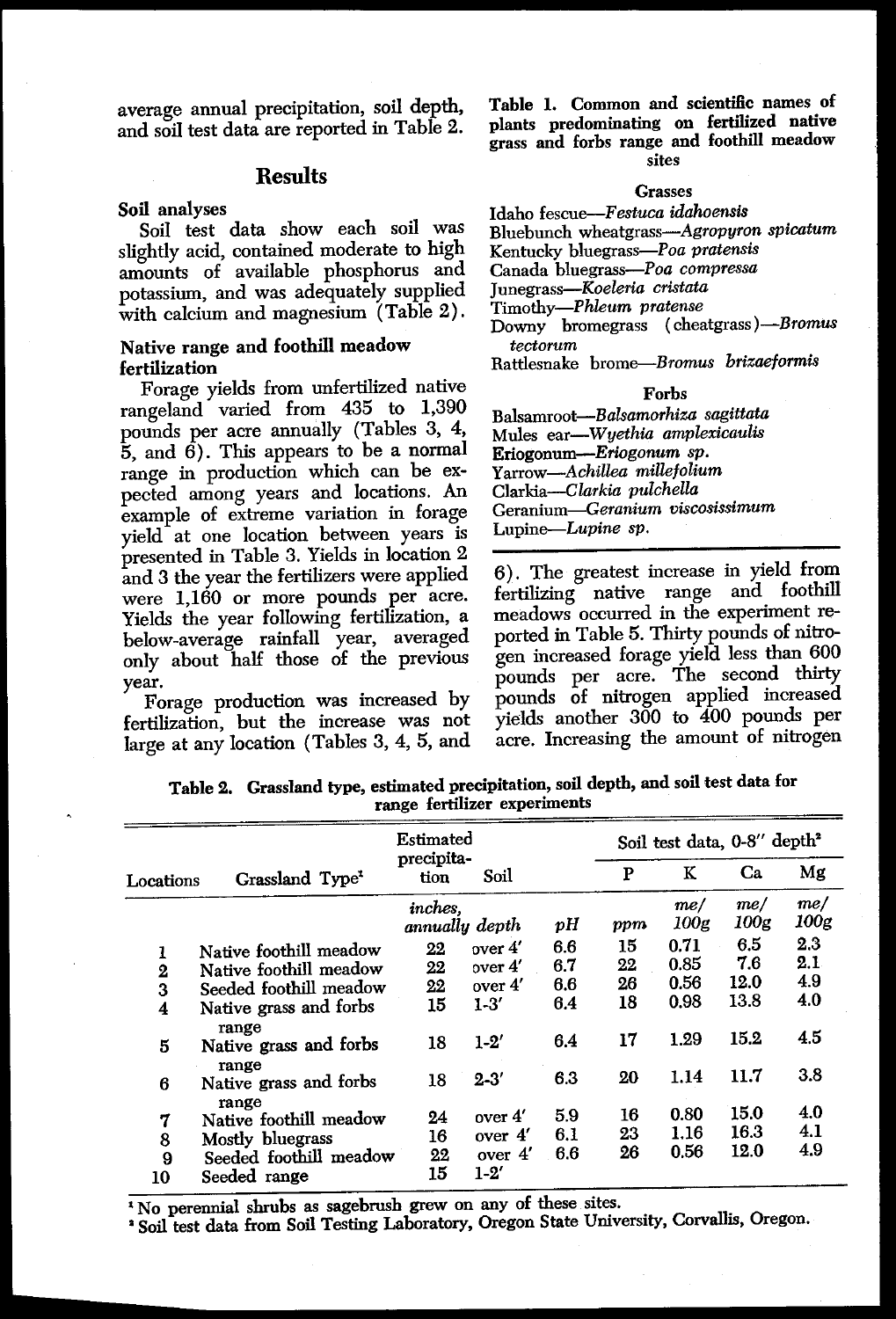average annual precipitation, soil depth, and soil test data are reported in Table 2.

#### **Results**

#### Soil analyses

Soil test data show each soil was slightly acid, contained moderate to high amounts of available phosphorus and potassium, and was adequately supplied with calcium and magnesium (Table 2).

#### Native range and foothill meadow fertilization

Forage yields from unfertilized native rangeland varied from 435 to 1,390 pounds per acre annually (Tables 3, 4,  $\bar{5}$ , and  $\bar{6}$ ). This appears to be a normal range in production which can be expected among years and locations. An example of extreme variation in forage yield at one location between years is presented in Table 3. Yields in location 2 and 3 the year the fertilizers were applied were 1,160 or more pounds per acre. Yields the year following fertilization, a below-average rainfall year, averaged only about half those of the previous year.

Table 1. Common and scientific names of plants predominating on fertilized native grass and forbs range and foothill meadow sites

#### Grasses

#### Idaho *fescue-Festuca idahoensis*

Bluebunch wheatgrass-Agropyron *spicatum*

Kentucky bluegrass-Poa *pratensis*

Canada bluegrass-Poa *compressa*

Junegrass-Koeleria *cristata*

Timothy-Phleum *pretense*

Downy bromegrass ( cheatgrass *)-Bromus tectorum*

Rattlesnake brome-Bromus *brizaeformis*

#### Forbs

Balsamroot-Ba/samorhiza *sagittata* Mules *ear-Wyethia amplexicaulis* Eriogonum-Eriogonum *sp. Yarrow-Achillea millefolium* Clarkia-Clarkia *pulchella* Geranium-Geranium *viscosissimum* Lupine-Lupine sp.

6). The greatest increase in yield from fertilizing native range and foothill meadows occurred in the experiment reported in Table 5. Thirty pounds of nitrogen increased forage yield less than 600 pounds per acre. The second thirty pounds of nitrogen applied increased yields another 300 to 400 pounds per acre. Increasing the amount of nitrogen

| only about han those of the previous<br>pounds per acre. The second thirty<br>year.<br>pounds of nitrogen applied increased<br>Forage production was increased by<br>yields another 300 to 400 pounds per<br>fertilization, but the increase was not<br>acre. Increasing the amount of nitrogen<br>large at any location (Tables 3, 4, 5, and<br>Table 2. Grassland type, estimated precipitation, soil depth, and soil test data for<br>range fertilizer experiments |                                          |                           |           |     |     |             |                                         |             |
|-----------------------------------------------------------------------------------------------------------------------------------------------------------------------------------------------------------------------------------------------------------------------------------------------------------------------------------------------------------------------------------------------------------------------------------------------------------------------|------------------------------------------|---------------------------|-----------|-----|-----|-------------|-----------------------------------------|-------------|
|                                                                                                                                                                                                                                                                                                                                                                                                                                                                       |                                          | Estimated                 |           |     |     |             | Soil test data, 0-8" depth <sup>2</sup> |             |
| Locations                                                                                                                                                                                                                                                                                                                                                                                                                                                             | Grassland Type <sup>1</sup>              | precipita-<br>tion        | Soil      |     | P   | к           | Ca                                      | Mg          |
|                                                                                                                                                                                                                                                                                                                                                                                                                                                                       |                                          | inches,<br>annually depth |           | рH  | ppm | me/<br>100g | me/<br>100g                             | me/<br>100g |
| 1                                                                                                                                                                                                                                                                                                                                                                                                                                                                     | Native foothill meadow                   | 22                        | over 4'   | 6.6 | 15  | 0.71        | 6.5                                     | 2.3         |
|                                                                                                                                                                                                                                                                                                                                                                                                                                                                       | Native foothill meadow                   | 22                        | over 4'   | 6.7 | 22  | 0.85        | 7.6                                     | 2.1         |
| $\frac{2}{3}$                                                                                                                                                                                                                                                                                                                                                                                                                                                         | Seeded foothill meadow                   | 22                        | over 4'   | 6.6 | 26  | 0.56        | 12.0                                    | 4.9         |
| $\overline{\mathbf{4}}$                                                                                                                                                                                                                                                                                                                                                                                                                                               | Native grass and forbs                   | 15                        | $1 - 3'$  | 6.4 | 18  | 0.98        | 13.8                                    | 4.0         |
| 5                                                                                                                                                                                                                                                                                                                                                                                                                                                                     | range<br>Native grass and forbs<br>range | 18                        | $1-2'$    | 6.4 | 17  | 1.29        | 15.2                                    | 4.5         |
| 6                                                                                                                                                                                                                                                                                                                                                                                                                                                                     | Native grass and forbs<br>range          | 18                        | $2 - 3'$  | 6.3 | 20  | 1.14        | 11.7                                    | 3.8         |
| 7                                                                                                                                                                                                                                                                                                                                                                                                                                                                     | Native foothill meadow                   | 24                        | over 4'   | 59  | 16  | 0.80        | 15.0                                    | 4.0         |
| 8                                                                                                                                                                                                                                                                                                                                                                                                                                                                     | Mostly bluegrass                         | 16                        | over 4'   | 6.1 | 23  | 1.16        | 16.3                                    | 4.1         |
| 9                                                                                                                                                                                                                                                                                                                                                                                                                                                                     | Seeded foothill meadow                   | 22                        | over $4'$ | 6.6 | 26  | 0.56        | 12.0                                    | 4.9         |
| 10                                                                                                                                                                                                                                                                                                                                                                                                                                                                    | Seeded range                             | 15                        | $1 - 2'$  |     |     |             |                                         |             |

Table 2. Grassland type, estimated precipitation, soil depth, and soil test data for range fertilizer experiments

' Soil test data from Soil Testing Laboratory, Oregon State University, Corvallis, Oregon.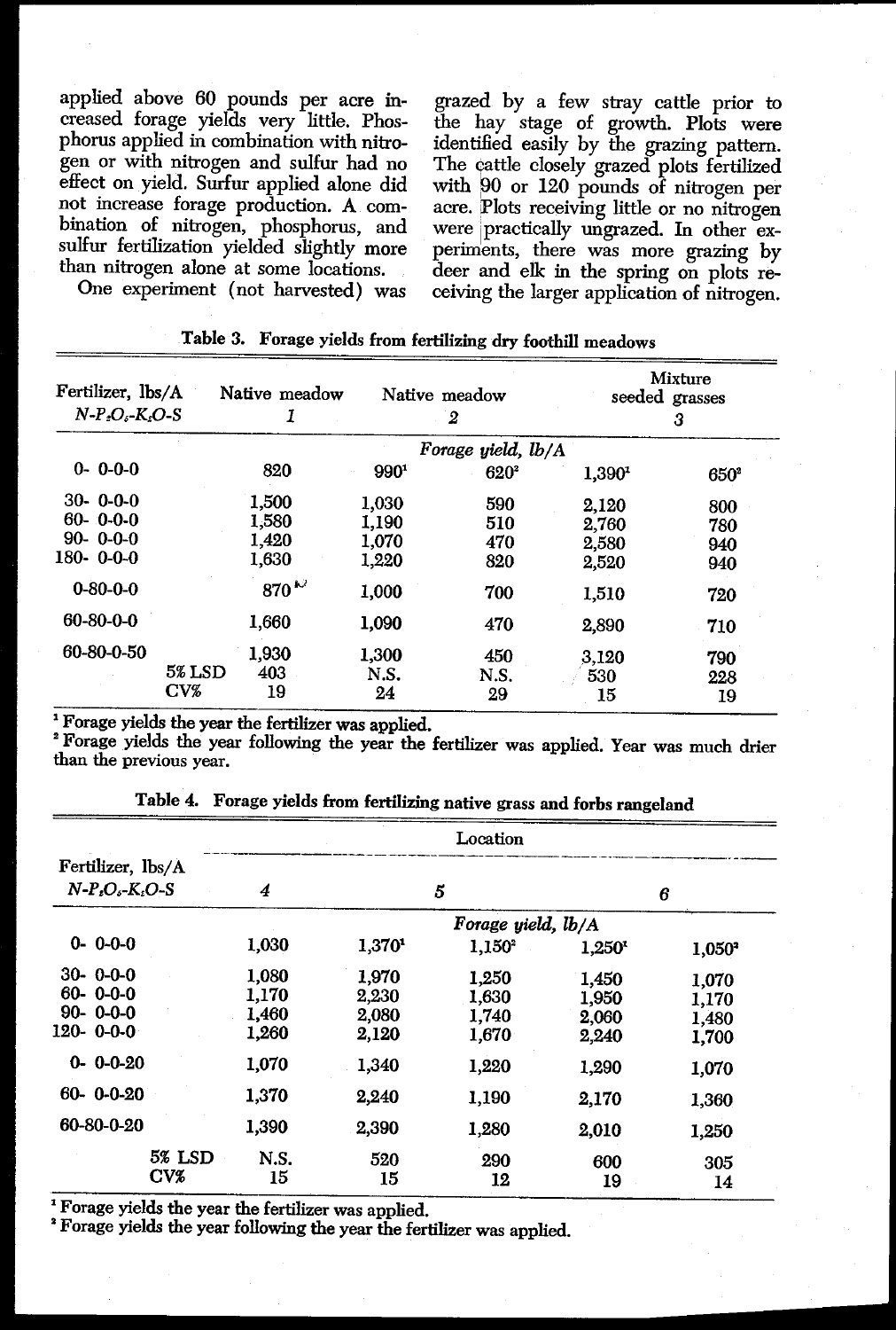applied above 60 pounds per acre increased forage yields very little. Phosphorus applied in combination with nitrogen or with nitrogen and sulfur had no effect on yield. Surfur applied alone did not increase forage production. A combination of nitrogen, phosphorus, and sulfur fertilization yielded slightly more than nitrogen alone at some locations. One experiment (not harvested) was gen or with nitrogen and sulfur<br>effect on yield. Surfur applied al<br>not increase forage production.<br>bination of nitrogen, phosphorr<br>sulfur fertilization yielded slightl<br>than nitrogen alone at some loca<br>One experiment (not h Proper and state of the nitrogen and spect on yield. Surfur application fect on yield. Surfur application of nitrogen, phose implicant interpretation of the state of the state of the state of the state of the state of the

grazed by a few stray cattle prior to the hay stage of growth. Plots were identified easily by the grazing pattern. The cattle closely grazed plots fertilized with 90 or 120 pounds of nitrogen per acre. Plots receiving little or no nitrogen were practically ungrazed. In other experiments, there was more grazing by deer and elk in the spring on plots receiving the larger application of nitrogen.

| Fertilizer, lbs/A            |               | Native meadow | Native meadow      |         |                    | Mixture<br>seeded grasses |
|------------------------------|---------------|---------------|--------------------|---------|--------------------|---------------------------|
| $N-P2O5$ -K <sub>2</sub> O-S |               | 1             |                    | 2       |                    | 3                         |
|                              |               |               | Forage yield, lb/A |         |                    |                           |
| $0 - 0 - 0 - 0$              |               | 820           | 990 <sup>1</sup>   | $620^2$ | 1,390 <sup>1</sup> | $650^2$                   |
| $30 - 0 - 0 - 0$             |               | 1,500         | 1.030              | 590     | 2,120              | 800                       |
| $60 - 0 - 0 - 0$             |               | 1.580         | 1,190              | 510     | 2.760              | 780                       |
| $90 - 0 - 0 - 0$             |               | 1,420         | 1,070              | 470     | 2,580              | 940                       |
| $180 - 0 - 0 - 0$            |               | 1,630         | 1,220              | 820     | 2,520              | 940                       |
| $0 - 80 - 0 - 0$             |               | 870 $\sim$    | 1,000              | 700     | 1,510              | 720                       |
| $60 - 80 - 0 - 0$            |               | 1.660         | 1,090              | 470     | 2,890              | 710                       |
| 60-80-0-50                   |               | 1,930         | 1,300              | 450     | 3,120              | 790                       |
|                              | <b>5% LSD</b> | 403           | N.S.               | N.S.    | 530                | 228                       |
|                              | CVZ           | 19            | 24                 | 29      | 15                 | 19                        |

|  | Table 3. Forage yields from fertilizing dry foothill meadows |  |  |  |  |  |
|--|--------------------------------------------------------------|--|--|--|--|--|
|--|--------------------------------------------------------------|--|--|--|--|--|

| <sup>1</sup> Forage yields the year the fertilizer was applied.<br><sup>2</sup> Forage yields the year following the year the fertilizer was applied. Year was much drier<br>than the previous year. |                                                                          |                    |                      |                    |           |
|------------------------------------------------------------------------------------------------------------------------------------------------------------------------------------------------------|--------------------------------------------------------------------------|--------------------|----------------------|--------------------|-----------|
|                                                                                                                                                                                                      | Table 4. Forage yields from fertilizing native grass and forbs rangeland |                    |                      |                    |           |
|                                                                                                                                                                                                      |                                                                          |                    | Location             |                    |           |
| Fertilizer, lbs/A                                                                                                                                                                                    |                                                                          |                    |                      |                    |           |
| $N-PsOs-KsO-S$                                                                                                                                                                                       | 4                                                                        |                    | 5                    |                    | 6         |
|                                                                                                                                                                                                      |                                                                          |                    | Forage yield, $lb/A$ |                    |           |
| $0 - 0 - 0 - 0$                                                                                                                                                                                      | 1,030                                                                    | 1,370 <sup>1</sup> | $1,150^2$            | 1.250 <sup>1</sup> | $1,050^2$ |
| $30 - 0 - 0 - 0$                                                                                                                                                                                     | 1,080                                                                    | 1,970              | 1,250                | 1,450              | 1,070     |
| $60 - 0 - 0 - 0$                                                                                                                                                                                     | 1,170                                                                    | 2,230              | 1,630                | 1,950              | 1,170     |
| $90 - 0 - 0 - 0$                                                                                                                                                                                     | 1,460                                                                    | 2,080              | 1,740                | 2,060              | 1,480     |
| 120-0--00                                                                                                                                                                                            | 1,260                                                                    | 2,120              | 1,670                | 2,240              | 1,700     |
| $0 - 0 - 0 - 20$                                                                                                                                                                                     | 1,070                                                                    | 1,340              | 1,220                | 1,290              | 1,070     |
| $60 - 0 - 0 - 20$                                                                                                                                                                                    | 1,370                                                                    | 2,240              | 1,190                | 2,170              | 1,360     |
| 60-80-0-20                                                                                                                                                                                           | 1,390                                                                    | 2,390              | 1,280                | 2,010              | 1,250     |
| 5% LSD                                                                                                                                                                                               | N.S.                                                                     | 520                | 290                  | 600                | 305       |
| CVZ                                                                                                                                                                                                  | 15                                                                       | 15                 | 12                   | 19                 | 14        |

Table 4. Forage yields from fertilizing native grass and forbs rangeland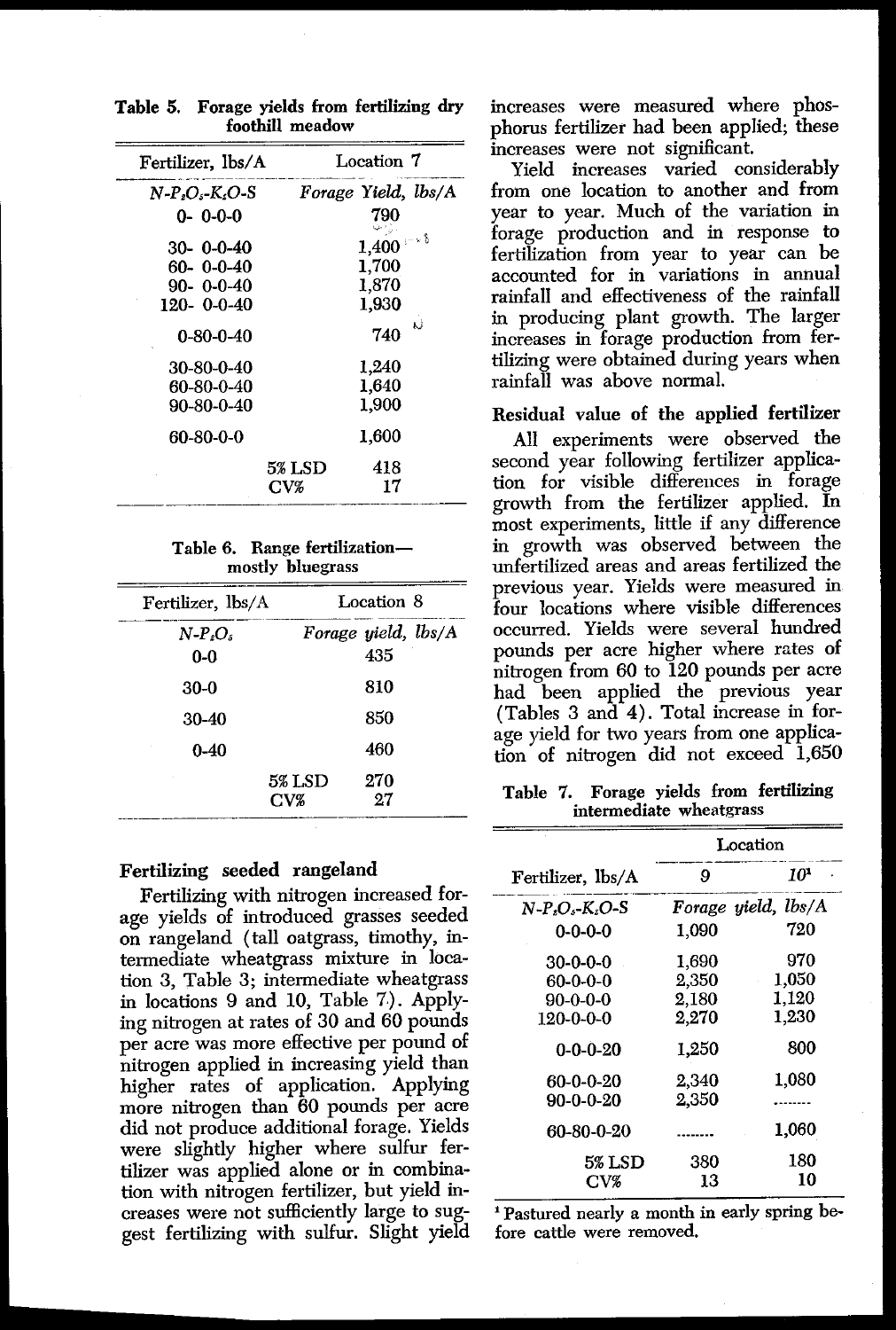| Table 5.                                                                                                                                               | Forage yields from fertilizing dry<br>foothill meadow                                                     |
|--------------------------------------------------------------------------------------------------------------------------------------------------------|-----------------------------------------------------------------------------------------------------------|
| Fertilizer, lbs/A                                                                                                                                      | Location 7                                                                                                |
| $N-P_{2}O_{5}$ -K <sub>2</sub> O-S                                                                                                                     | Forage Yield, lbs/A                                                                                       |
| $0 - 0 - 0 - 0$                                                                                                                                        | 790                                                                                                       |
| $30 - 0 - 0 - 40$<br>$60 - 0 - 0 - 40$<br>$90 - 0 - 0 - 40$<br>120-0--0-40<br>$0 - 80 - 0 - 40$<br>30-80-0-40<br>60-80-0-40<br>90-80-0-40<br>60-80-0-0 | - v 8<br>1,400<br>1,700<br>1,870<br>1,930<br>740<br>1.240<br>1,640<br>1,900<br>$1,\!600$<br>5% LSD<br>418 |
|                                                                                                                                                        | CVZ<br>17<br>Table 6. Range fertilization-<br>mostly bluegrass                                            |
| Fertilizer, lbs/A                                                                                                                                      | Location 8                                                                                                |
| $N-P_sO_s$                                                                                                                                             | Forage yield, lbs/A                                                                                       |
| 0-0                                                                                                                                                    | 435                                                                                                       |
| 30-0                                                                                                                                                   | 810                                                                                                       |

**Table 5. Forage yields** from fertilizing dry foothill meadow

#### Table 6. Range fertilization mostly bluegrass

| 60-80-0-40<br>90-80-0-40 |                                                   | 1,640<br>1,900      |  |  |  |
|--------------------------|---------------------------------------------------|---------------------|--|--|--|
| 60-80-0-0                |                                                   | 1,600               |  |  |  |
|                          | 5% LSD<br>$_{\rm{CV%}}$                           | 418<br>17           |  |  |  |
|                          | Table 6. Range fertilization-<br>mostly bluegrass |                     |  |  |  |
| Fertilizer, lbs/A        |                                                   | Location 8          |  |  |  |
| $N-P_{\it e}O_{\it s}$   |                                                   | Forage yield, lbs/A |  |  |  |
| 0-0                      |                                                   | 435                 |  |  |  |
|                          |                                                   |                     |  |  |  |
| 30-0                     |                                                   | 810                 |  |  |  |
| 30-40                    |                                                   | 850                 |  |  |  |
| $0 - 40$                 |                                                   | 460                 |  |  |  |

#### **Fertilizing seeded rangeland**

Fertilizing with nitrogen increased forage yields of introduced grasses seeded on rangeland (tall oatgrass, timothy, intermediate wheatgrass mixture in location 3, Table 3; intermediate wheatgrass in locations 9 and 10, Table 7). Applying nitrogen at rates of 30 and 60 pounds per acre was more effective per pound of nitrogen applied in increasing yield than higher rates of application. Applying more nitrogen than 60 pounds per acre did not produce additional forage. Yields were slightly higher where sulfur fertilizer was applied alone or in combination with nitrogen fertilizer, but yield increases were not sufficiently large to suggest fertilizing with sulfur. Slight yield increases were measured where phosphorus fertilizer had been applied; these increases were not significant.

Yield increases varied considerably from one location to another and from year to year. Much of the variation in forage production and in response to fertilization from year to year can be accounted for in variations in annual rainfall and effectiveness of the rainfall in producing plant growth. The larger increases in forage production from fertilizing were obtained during years when rainfall was above normal.

#### Residual value of the **applied fertilizer**

All experiments were observed the second year following fertilizer application for visible differences in forage growth from the fertilizer applied. In most experiments, little if any difference in growth was observed between the unfertilized areas and areas fertilized the previous year. Yields were measured in four locations where visible differences occurred. Yields were several hundred pounds per acre higher where rates of nitrogen from 60 to 120 pounds per acre had been applied the previous year  $(Tables 3 and 4)$ . Total increase in forage yield for two years from one application of nitrogen did not exceed 1,650 several hund:<br>
where rates<br>
pounds per a<br>
previous y<br>
l increase in 1<br>
l increase in 1<br>
from fertilizie<br>
eatgrass<br>
Location<br>
9<br> *10*<br>
age yield, lbs/<br>
720

**Table** 7. Forage yields from fertilizing intermediate wheatgrass

|                   | Location |                     |  |  |
|-------------------|----------|---------------------|--|--|
| Fertilizer, lbs/A | 9        | 10                  |  |  |
| N-P.O.-K.O-S      |          | Forage yield, lbs/A |  |  |
| $0 - 0 - 0 - 0$   | 1,090    | 720                 |  |  |
| $30-0-0-0$        | 1.690    | 970                 |  |  |
| $60-0-0-0$        | 2,350    | 1.050               |  |  |
| $90 - 0 - 0 - 0$  | 2.180    | 1.120               |  |  |
| 120-0-0-0         | 2.270    | 1.230               |  |  |
| $0 - 0 - 0 - 20$  | 1.250    | 800                 |  |  |
| 60-0-0-20         | 2.340    | 1,080               |  |  |
| $90-0-0-20$       | 2,350    |                     |  |  |
| 60-80-0-20        | .        | 1,060               |  |  |
| <b>5% LSD</b>     | 380      | 180                 |  |  |
| $_{\rm{CV}z}$     | 13       | 10                  |  |  |

Pastured nearly a month in early spring before cattle were removed.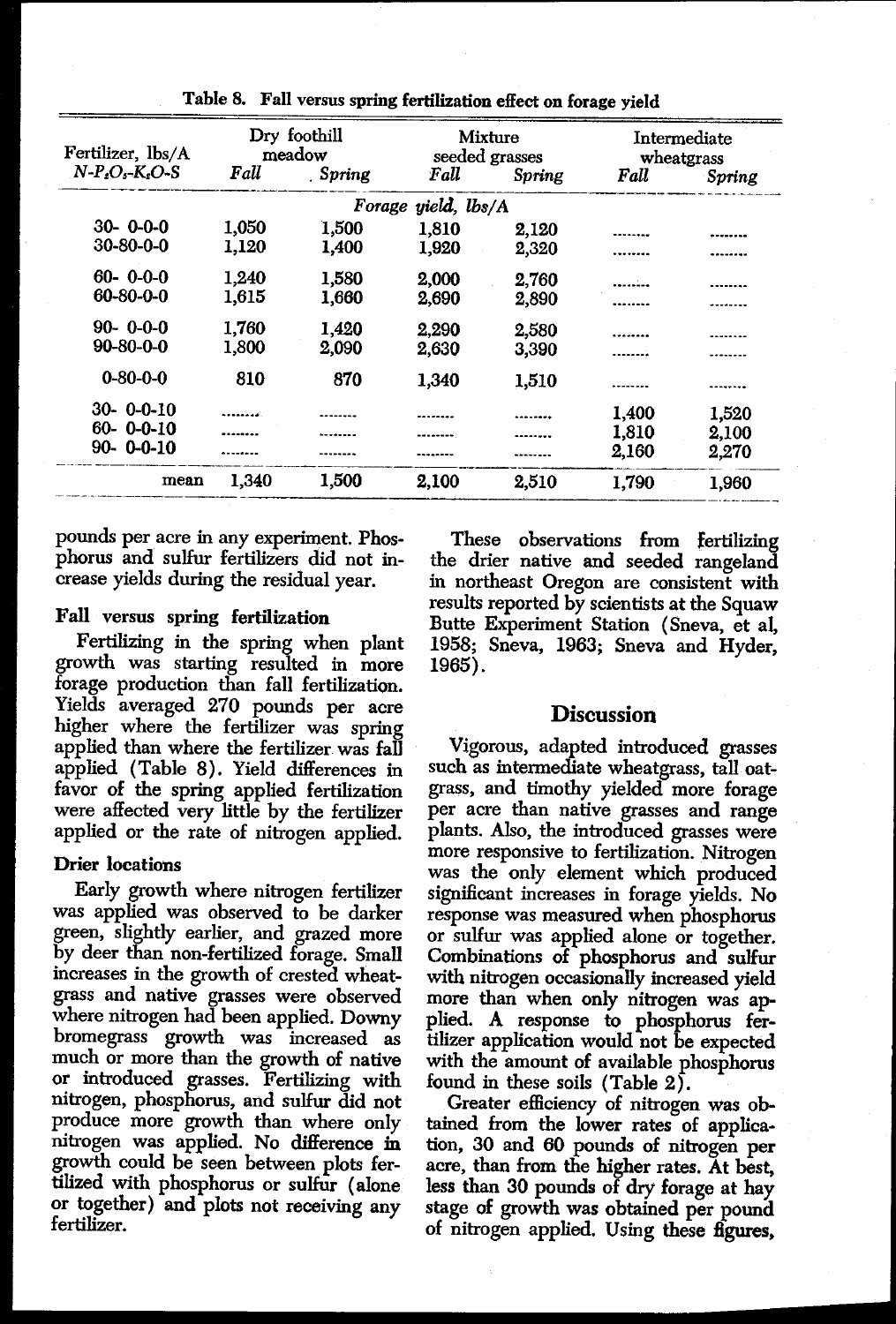|                   | Table 8. | Fall versus spring fertilization effect on forage yield |                     |                           |       |                            |
|-------------------|----------|---------------------------------------------------------|---------------------|---------------------------|-------|----------------------------|
| Fertilizer, lbs/A |          | Dry foothill<br>meadow                                  |                     | Mixture<br>seeded grasses |       | Intermediate<br>wheatgrass |
| $N-P.O - K.O-S$   | Fall     | Spring                                                  | Fall                | Spring                    | Fall  | Spring                     |
|                   |          |                                                         | Forage yield, lbs/A |                           |       |                            |
| $30 - 0 - 0 - 0$  | 1.050    | 1,500                                                   | 1,810               | 2,120                     |       |                            |
| $30 - 80 - 0 - 0$ | 1,120    | 1,400                                                   | 1.920               | 2,320                     |       |                            |
| $60 - 0 - 0 - 0$  | 1,240    | 1,580                                                   | 2,000               | 2,760                     |       |                            |
| 60-80-0-0         | 1,615    | 1,660                                                   | 2,690               | 2,890                     |       |                            |
| $90 - 0 - 0 - 0$  | 1,760    | 1.420                                                   | 2.290               | 2,580                     |       |                            |
| $90 - 80 - 0 - 0$ | 1,800    | 2,090                                                   | 2,630               | 3,390                     |       |                            |
| $0 - 80 - 0 - 0$  | 810      | 870                                                     | 1,340               | 1,510                     |       |                            |
| $30 - 0 - 0 - 10$ |          |                                                         |                     |                           | 1,400 | 1.520                      |
| $60 - 0 - 0 - 10$ |          |                                                         |                     |                           | 1,810 |                            |
| $90 - 0 - 0 - 10$ |          |                                                         |                     |                           | 2,160 | 2,100<br>2,270             |
| mean              | 1,340    | 1,500                                                   | 2,100               | 2,510                     | 1,790 | 1,960                      |

Table 8. Fall versus spring fertilization effect on forage yield

pounds per acre in any experiment. Phosphorus and sulfur fertilizers did not increase yields during the residual year.

#### Fall versus spring fertilization

Fertilizing in the spring when plant growth was starting resulted in more forage production than fall fertilization. Yields averaged 270 pounds per acre higher where the fertilizer was spring applied than where the fertilizer was fall applied (Table 8). Yield differences in favor of the spring applied fertilization were affected very little by the fertilizer applied or the rate of nitrogen applied.

#### Drier locations

Early growth where nitrogen fertilizer was applied was observed to be darker green, slightly earlier, and grazed more by deer than non-fertilized forage. Small increases in the growth of crested wheatgrass and native grasses were observed where nitrogen had been applied. Downy bromegrass growth was increased as much or more than the growth of native or introduced grasses. Fertilizing with nitrogen, phosphorus, and sulfur did not produce more growth than where only nitrogen was applied. No difference in growth could be seen between plots fertilized with phosphorus or sulfur (alone or together) and plots not receiving any fertilizer.

These observations from fertilizing the drier native and seeded rangeland in northeast Oregon are consistent with results reported by scientists at the Squaw Butte Experiment Station (Sneva, et al, 1958; Sneva, 1963; Sneva and Hyder, 1965).

#### **Discussion**

Vigorous, adapted introduced grasses such as intermediate wheatgrass, tall oatgrass, and timothy yielded more forage per acre than native grasses and range plants. Also, the introduced grasses were more responsive to fertilization. Nitrogen was the only element which produced significant increases in forage yields. No response was measured when phosphorus or sulfur was applied alone or together. Combinations of phosphorus and sulfur with nitrogen occasionally increased yield more than when only nitrogen was applied. A response to phosphorus fertilizer application would not be expected with the amount of available phosphorus found in these soils (Table 2).

Greater efficiency of nitrogen was obtained from the lower rates of application, 30 and 60 pounds of nitrogen per acre, than from the higher rates. At best, less than 30 pounds of dry forage at hay stage of growth was obtained per pound of nitrogen applied. Using these figures,